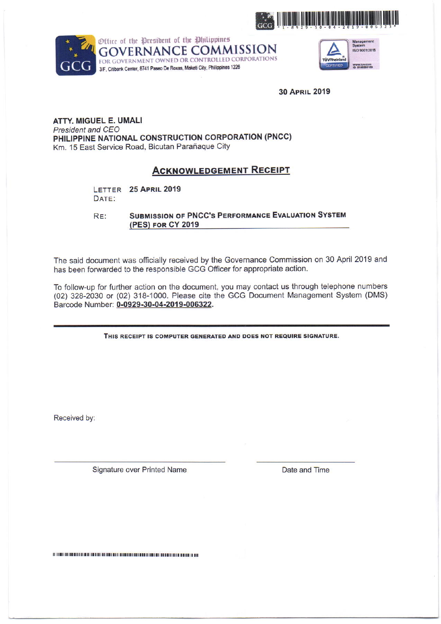



Office of the President of the Philippines **GOVERNANCE COMMISSION** FOR GOVERNMENT OWNED OR CONTROLLED CORPORATIONS 3/F, Citibank Center, 8741 Paseo De Roxas, Makati City, Philippines 1226



**30 APRIL 2019** 

## ATTY, MIGUEL E. UMALI President and CEO PHILIPPINE NATIONAL CONSTRUCTION CORPORATION (PNCC) Km. 15 East Service Road, Bicutan Parañaque City

# **ACKNOWLEDGEMENT RECEIPT**

LETTER 25 APRIL 2019 DATE:

**SUBMISSION OF PNCC'S PERFORMANCE EVALUATION SYSTEM** RE: (PES) FOR CY 2019

The said document was officially received by the Governance Commission on 30 April 2019 and has been forwarded to the responsible GCG Officer for appropriate action.

To follow-up for further action on the document, you may contact us through telephone numbers (02) 328-2030 or (02) 318-1000. Please cite the GCG Document Management System (DMS) Barcode Number: 0-0929-30-04-2019-006322.

THIS RECEIPT IS COMPUTER GENERATED AND DOES NOT REQUIRE SIGNATURE.

Received by:

Signature over Printed Name

Date and Time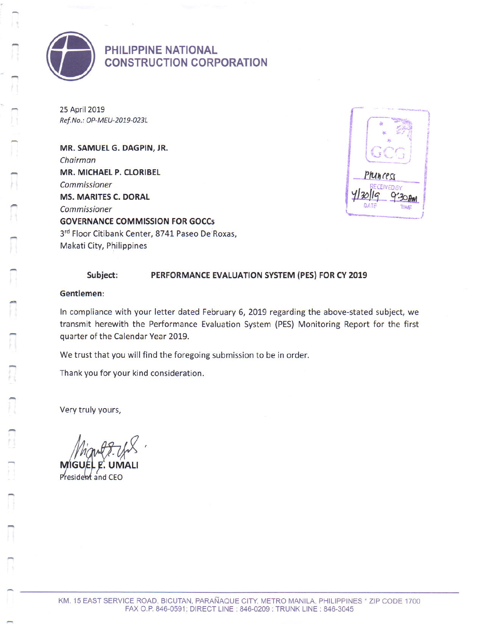

PHILIPPINE NATIONAL **CONSTRUCTION CORPORATION** 

25 April 2019 Ref.No.: OP-MEU-2019-023L

MR. SAMUEL G. DAGPIN, JR. Chairman MR. MICHAEL P. CLORIBEL Commissioner **MS. MARITES C. DORAL** Commissioner **GOVERNANCE COMMISSION FOR GOCCS** 3rd Floor Citibank Center, 8741 Paseo De Roxas, Makati City, Philippines



#### Subject: PERFORMANCE EVALUATION SYSTEM (PES) FOR CY 2019

### Gentlemen:

In compliance with your letter dated February 6, 2019 regarding the above-stated subject, we transmit herewith the Performance Evaluation System (PES) Monitoring Report for the first quarter of the Calendar Year 2019.

We trust that you will find the foregoing submission to be in order.

Thank you for your kind consideration.

Very truly yours,

**MG** IM AL

President and CEO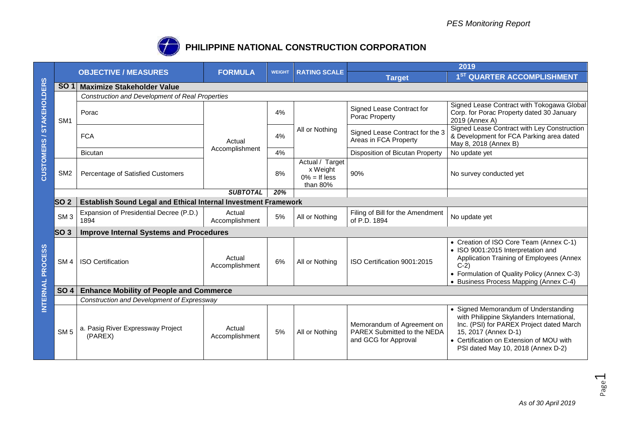

# **PHILIPPINE NATIONAL CONSTRUCTION CORPORATION**

|                          |                 |                                                                        |                          |               |                                                            | 2019                                                                              |                                                                                                                                                                                                                                         |  |  |
|--------------------------|-----------------|------------------------------------------------------------------------|--------------------------|---------------|------------------------------------------------------------|-----------------------------------------------------------------------------------|-----------------------------------------------------------------------------------------------------------------------------------------------------------------------------------------------------------------------------------------|--|--|
|                          |                 | <b>OBJECTIVE / MEASURES</b>                                            | <b>FORMULA</b>           | <b>WEIGHT</b> | <b>RATING SCALE</b>                                        | <b>Target</b>                                                                     | 1 <sup>ST</sup> QUARTER ACCOMPLISHMENT                                                                                                                                                                                                  |  |  |
|                          | <b>SO1</b>      | <b>Maximize Stakeholder Value</b>                                      |                          |               |                                                            |                                                                                   |                                                                                                                                                                                                                                         |  |  |
|                          |                 | <b>Construction and Development of Real Properties</b>                 |                          |               |                                                            |                                                                                   |                                                                                                                                                                                                                                         |  |  |
| <b>STAKEHOLDERS</b><br>∼ | SM <sub>1</sub> | Porac                                                                  | Actual<br>Accomplishment | 4%            | All or Nothing                                             | Signed Lease Contract for<br>Porac Property                                       | Signed Lease Contract with Tokogawa Global<br>Corp. for Porac Property dated 30 January<br>2019 (Annex A)                                                                                                                               |  |  |
|                          |                 | <b>FCA</b>                                                             |                          | 4%            |                                                            | Signed Lease Contract for the 3<br>Areas in FCA Property                          | Signed Lease Contract with Ley Construction<br>& Development for FCA Parking area dated<br>May 8, 2018 (Annex B)                                                                                                                        |  |  |
|                          |                 | Bicutan                                                                |                          | 4%            |                                                            | Disposition of Bicutan Property                                                   | No update yet                                                                                                                                                                                                                           |  |  |
| CUSTOMERS                | SM <sub>2</sub> | Percentage of Satisfied Customers                                      |                          | 8%            | Actual / Target<br>x Weight<br>$0\% =$ If less<br>than 80% | 90%                                                                               | No survey conducted yet                                                                                                                                                                                                                 |  |  |
|                          |                 |                                                                        | <b>SUBTOTAL</b>          | 20%           |                                                            |                                                                                   |                                                                                                                                                                                                                                         |  |  |
|                          | SO <sub>2</sub> | <b>Establish Sound Legal and Ethical Internal Investment Framework</b> |                          |               |                                                            |                                                                                   |                                                                                                                                                                                                                                         |  |  |
|                          | SM <sub>3</sub> | Expansion of Presidential Decree (P.D.)<br>1894                        | Actual<br>Accomplishment | 5%            | All or Nothing                                             | Filing of Bill for the Amendment<br>of P.D. 1894                                  | No update yet                                                                                                                                                                                                                           |  |  |
|                          | SO <sub>3</sub> | <b>Improve Internal Systems and Procedures</b>                         |                          |               |                                                            |                                                                                   |                                                                                                                                                                                                                                         |  |  |
| INTERNAL PROCESS         | SM <sub>4</sub> | <b>ISO Certification</b>                                               | Actual<br>Accomplishment | 6%            | All or Nothing                                             | ISO Certification 9001:2015                                                       | • Creation of ISO Core Team (Annex C-1)<br>• ISO 9001:2015 Interpretation and<br>Application Training of Employees (Annex<br>$C-2$<br>• Formulation of Quality Policy (Annex C-3)<br>• Business Process Mapping (Annex C-4)             |  |  |
|                          | <b>SO 4</b>     | <b>Enhance Mobility of People and Commerce</b>                         |                          |               |                                                            |                                                                                   |                                                                                                                                                                                                                                         |  |  |
|                          |                 | Construction and Development of Expressway                             |                          |               |                                                            |                                                                                   |                                                                                                                                                                                                                                         |  |  |
|                          | SM <sub>5</sub> | a. Pasig River Expressway Project<br>(PAREX)                           | Actual<br>Accomplishment | 5%            | All or Nothing                                             | Memorandum of Agreement on<br>PAREX Submitted to the NEDA<br>and GCG for Approval | • Signed Memorandum of Understanding<br>with Philippine Skylanders International,<br>Inc. (PSI) for PAREX Project dated March<br>15, 2017 (Annex D-1)<br>• Certification on Extension of MOU with<br>PSI dated May 10, 2018 (Annex D-2) |  |  |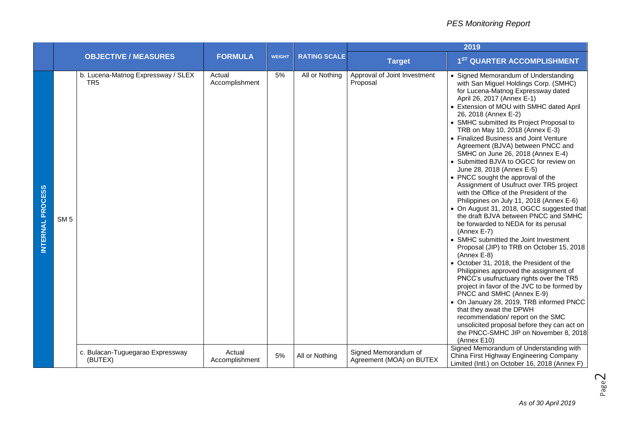|                  | <b>OBJECTIVE / MEASURES</b> |                                                       |                          | <b>WEIGHT</b> | <b>RATING SCALE</b> | 2019                                             |                                                                                                                                                                                                                                                                                                                                                                                                                                                                                                                                                                                                                                                                                                                                                                                                                                                                                                                                                                                                                                                                                                                                                                                                                                                                                                                                                         |  |
|------------------|-----------------------------|-------------------------------------------------------|--------------------------|---------------|---------------------|--------------------------------------------------|---------------------------------------------------------------------------------------------------------------------------------------------------------------------------------------------------------------------------------------------------------------------------------------------------------------------------------------------------------------------------------------------------------------------------------------------------------------------------------------------------------------------------------------------------------------------------------------------------------------------------------------------------------------------------------------------------------------------------------------------------------------------------------------------------------------------------------------------------------------------------------------------------------------------------------------------------------------------------------------------------------------------------------------------------------------------------------------------------------------------------------------------------------------------------------------------------------------------------------------------------------------------------------------------------------------------------------------------------------|--|
|                  |                             |                                                       | <b>FORMULA</b>           |               |                     | <b>Target</b>                                    | 1 <sup>ST</sup> QUARTER ACCOMPLISHMENT                                                                                                                                                                                                                                                                                                                                                                                                                                                                                                                                                                                                                                                                                                                                                                                                                                                                                                                                                                                                                                                                                                                                                                                                                                                                                                                  |  |
| INTERNAL PROCESS | SM <sub>5</sub>             | b. Lucena-Matnog Expressway / SLEX<br>TR <sub>5</sub> | Actual<br>Accomplishment | 5%            | All or Nothing      | Approval of Joint Investment<br>Proposal         | • Signed Memorandum of Understanding<br>with San Miguel Holdings Corp. (SMHC)<br>for Lucena-Matnog Expressway dated<br>April 26, 2017 (Annex E-1)<br>• Extension of MOU with SMHC dated April<br>26, 2018 (Annex E-2)<br>• SMHC submitted its Project Proposal to<br>TRB on May 10, 2018 (Annex E-3)<br>• Finalized Business and Joint Venture<br>Agreement (BJVA) between PNCC and<br>SMHC on June 26, 2018 (Annex E-4)<br>• Submitted BJVA to OGCC for review on<br>June 28, 2018 (Annex E-5)<br>• PNCC sought the approval of the<br>Assignment of Usufruct over TR5 project<br>with the Office of the President of the<br>Philippines on July 11, 2018 (Annex E-6)<br>• On August 31, 2018, OGCC suggested that<br>the draft BJVA between PNCC and SMHC<br>be forwarded to NEDA for its perusal<br>(Annex E-7)<br>• SMHC submitted the Joint Investment<br>Proposal (JIP) to TRB on October 15, 2018<br>(Annex E-8)<br>• October 31, 2018, the President of the<br>Philippines approved the assignment of<br>PNCC's usufructuary rights over the TR5<br>project in favor of the JVC to be formed by<br>PNCC and SMHC (Annex E-9)<br>• On January 28, 2019, TRB informed PNCC<br>that they await the DPWH<br>recommendation/report on the SMC<br>unsolicited proposal before they can act on<br>the PNCC-SMHC JIP on November 8, 2018<br>(Annex E10) |  |
|                  |                             | c. Bulacan-Tuguegarao Expressway<br>(BUTEX)           | Actual<br>Accomplishment | 5%            | All or Nothing      | Signed Memorandum of<br>Agreement (MOA) on BUTEX | Signed Memorandum of Understanding with<br>China First Highway Engineering Company<br>Limited (Intl.) on October 16, 2018 (Annex F)                                                                                                                                                                                                                                                                                                                                                                                                                                                                                                                                                                                                                                                                                                                                                                                                                                                                                                                                                                                                                                                                                                                                                                                                                     |  |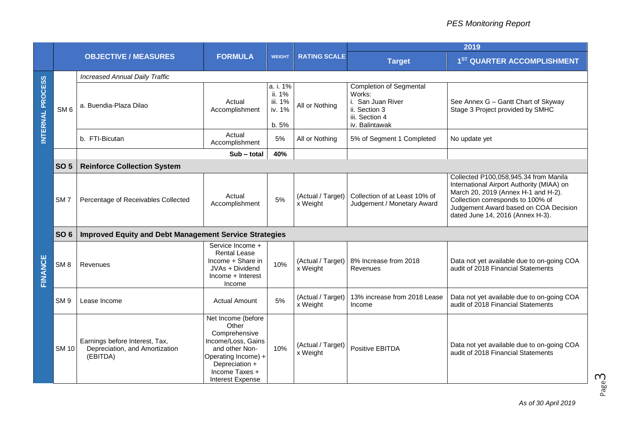|                  | <b>OBJECTIVE / MEASURES</b> |                                                                              | <b>FORMULA</b>                                                                                                                                                             | <b>WEIGHT</b>                                    | <b>RATING SCALE</b>           | 2019                                                                                                               |                                                                                                                                                                                                                                             |  |  |  |
|------------------|-----------------------------|------------------------------------------------------------------------------|----------------------------------------------------------------------------------------------------------------------------------------------------------------------------|--------------------------------------------------|-------------------------------|--------------------------------------------------------------------------------------------------------------------|---------------------------------------------------------------------------------------------------------------------------------------------------------------------------------------------------------------------------------------------|--|--|--|
|                  |                             |                                                                              |                                                                                                                                                                            |                                                  |                               | <b>Target</b>                                                                                                      | 1 <sup>ST</sup> QUARTER ACCOMPLISHMENT                                                                                                                                                                                                      |  |  |  |
|                  |                             | <b>Increased Annual Daily Traffic</b>                                        |                                                                                                                                                                            |                                                  |                               |                                                                                                                    |                                                                                                                                                                                                                                             |  |  |  |
| INTERNAL PROCESS | SM <sub>6</sub>             | a. Buendia-Plaza Dilao                                                       | Actual<br>Accomplishment                                                                                                                                                   | a. i. 1%<br>ii. 1%<br>iii. 1%<br>iv. 1%<br>b. 5% | All or Nothing                | <b>Completion of Segmental</b><br>Works:<br>i. San Juan River<br>ii. Section 3<br>iii. Section 4<br>iv. Balintawak | See Annex G - Gantt Chart of Skyway<br>Stage 3 Project provided by SMHC                                                                                                                                                                     |  |  |  |
|                  |                             | b. FTI-Bicutan                                                               | Actual<br>Accomplishment                                                                                                                                                   | 5%                                               | All or Nothing                | 5% of Segment 1 Completed                                                                                          | No update yet                                                                                                                                                                                                                               |  |  |  |
|                  |                             |                                                                              | Sub - total                                                                                                                                                                | 40%                                              |                               |                                                                                                                    |                                                                                                                                                                                                                                             |  |  |  |
|                  | <b>SO 5</b>                 | <b>Reinforce Collection System</b>                                           |                                                                                                                                                                            |                                                  |                               |                                                                                                                    |                                                                                                                                                                                                                                             |  |  |  |
| FINANCE          | SM <sub>7</sub>             | Percentage of Receivables Collected                                          | Actual<br>Accomplishment                                                                                                                                                   | 5%                                               | (Actual / Target)<br>x Weight | Collection of at Least 10% of<br>Judgement / Monetary Award                                                        | Collected P100,058,945.34 from Manila<br>International Airport Authority (MIAA) on<br>March 20, 2019 (Annex H-1 and H-2).<br>Collection corresponds to 100% of<br>Judgement Award based on COA Decision<br>dated June 14, 2016 (Annex H-3). |  |  |  |
|                  | <b>SO 6</b>                 | <b>Improved Equity and Debt Management Service Strategies</b>                |                                                                                                                                                                            |                                                  |                               |                                                                                                                    |                                                                                                                                                                                                                                             |  |  |  |
|                  | SM <sub>8</sub>             | Revenues                                                                     | Service Income +<br><b>Rental Lease</b><br>Income + Share in<br>JVAs + Dividend<br>Income + Interest<br>Income                                                             | 10%                                              | (Actual / Target)<br>x Weight | 8% Increase from 2018<br>Revenues                                                                                  | Data not yet available due to on-going COA<br>audit of 2018 Financial Statements                                                                                                                                                            |  |  |  |
|                  | SM <sub>9</sub>             | Lease Income                                                                 | <b>Actual Amount</b>                                                                                                                                                       | 5%                                               | (Actual / Target)<br>x Weight | 13% increase from 2018 Lease<br>Income                                                                             | Data not yet available due to on-going COA<br>audit of 2018 Financial Statements                                                                                                                                                            |  |  |  |
|                  | <b>SM 10</b>                | Earnings before Interest, Tax,<br>Depreciation, and Amortization<br>(EBITDA) | Net Income (before<br>Other<br>Comprehensive<br>Income/Loss, Gains<br>and other Non-<br>Operating Income) +<br>Depreciation +<br>Income Taxes +<br><b>Interest Expense</b> | 10%                                              | (Actual / Target)<br>x Weight | Positive EBITDA                                                                                                    | Data not yet available due to on-going COA<br>audit of 2018 Financial Statements                                                                                                                                                            |  |  |  |